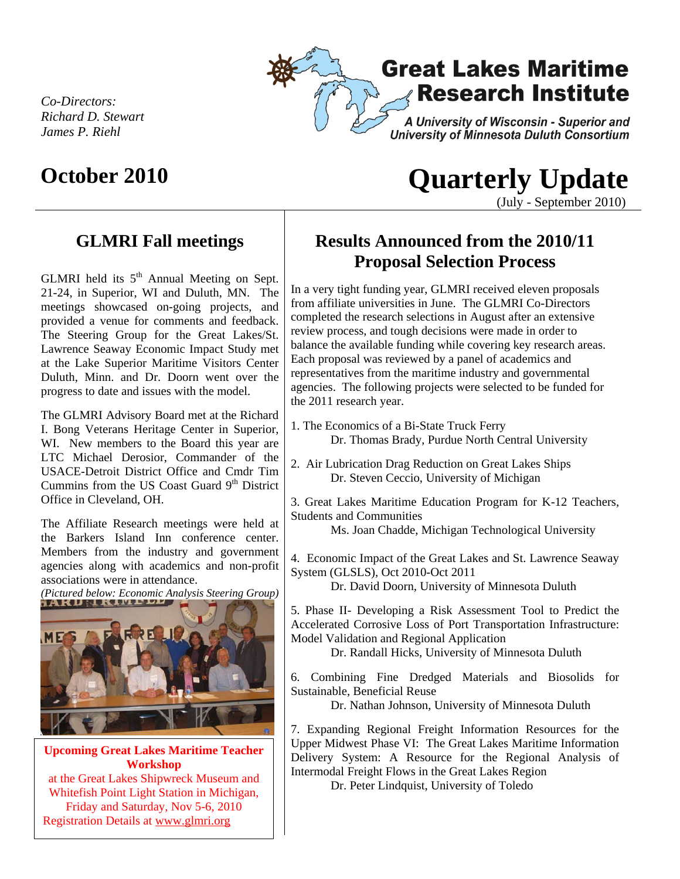

*Co-Directors: Richard D. Stewart James P. Riehl* 

# **October 2010 Quarterly Update**

(July - September 2010)

## **GLMRI Fall meetings**

GLMRI held its  $5<sup>th</sup>$  Annual Meeting on Sept. 21-24, in Superior, WI and Duluth, MN. The meetings showcased on-going projects, and provided a venue for comments and feedback. The Steering Group for the Great Lakes/St. Lawrence Seaway Economic Impact Study met at the Lake Superior Maritime Visitors Center Duluth, Minn. and Dr. Doorn went over the progress to date and issues with the model.

The GLMRI Advisory Board met at the Richard I. Bong Veterans Heritage Center in Superior, WI. New members to the Board this year are LTC Michael Derosior, Commander of the USACE-Detroit District Office and Cmdr Tim Cummins from the US Coast Guard  $9<sup>th</sup>$  District Office in Cleveland, OH.

The Affiliate Research meetings were held at the Barkers Island Inn conference center. Members from the industry and government agencies along with academics and non-profit associations were in attendance.



**Upcoming Great Lakes Maritime Teacher Workshop**  at the Great Lakes Shipwreck Museum and Whitefish Point Light Station in Michigan, Friday and Saturday, Nov 5-6, 2010 Registration Details at www.glmri.org

# **Results Announced from the 2010/11 Proposal Selection Process**

In a very tight funding year, GLMRI received eleven proposals from affiliate universities in June. The GLMRI Co-Directors completed the research selections in August after an extensive review process, and tough decisions were made in order to balance the available funding while covering key research areas. Each proposal was reviewed by a panel of academics and representatives from the maritime industry and governmental agencies. The following projects were selected to be funded for the 2011 research year.

- 1. The Economics of a Bi-State Truck Ferry Dr. Thomas Brady, Purdue North Central University
- 2. Air Lubrication Drag Reduction on Great Lakes Ships Dr. Steven Ceccio, University of Michigan
- 3. Great Lakes Maritime Education Program for K-12 Teachers, Students and Communities

Ms. Joan Chadde, Michigan Technological University

4. Economic Impact of the Great Lakes and St. Lawrence Seaway System (GLSLS), Oct 2010-Oct 2011

Dr. David Doorn, University of Minnesota Duluth

5. Phase II- Developing a Risk Assessment Tool to Predict the Accelerated Corrosive Loss of Port Transportation Infrastructure: Model Validation and Regional Application

Dr. Randall Hicks, University of Minnesota Duluth

6. Combining Fine Dredged Materials and Biosolids for Sustainable, Beneficial Reuse

Dr. Nathan Johnson, University of Minnesota Duluth

7. Expanding Regional Freight Information Resources for the Upper Midwest Phase VI: The Great Lakes Maritime Information Delivery System: A Resource for the Regional Analysis of Intermodal Freight Flows in the Great Lakes Region

Dr. Peter Lindquist, University of Toledo